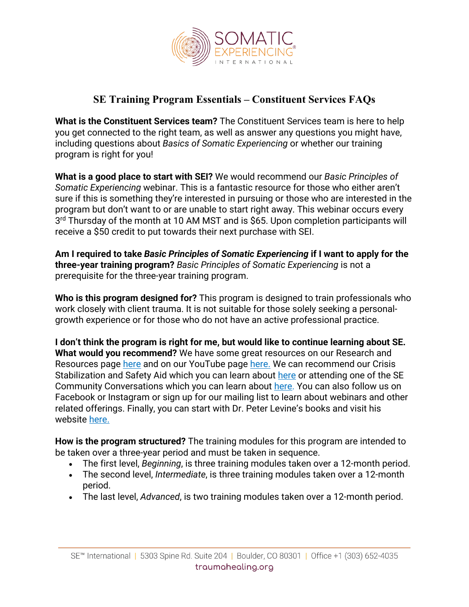

## **SE Training Program Essentials – Constituent Services FAQs**

**What is the Constituent Services team?** The Constituent Services team is here to help you get connected to the right team, as well as answer any questions you might have, including questions about *Basics of Somatic Experiencing* or whether our training program is right for you!

**What is a good place to start with SEI?** We would recommend our *Basic Principles of Somatic Experiencing* webinar. This is a fantastic resource for those who either aren't sure if this is something they're interested in pursuing or those who are interested in the program but don't want to or are unable to start right away. This webinar occurs every 3<sup>rd</sup> Thursday of the month at 10 AM MST and is \$65. Upon completion participants will receive a \$50 credit to put towards their next purchase with SEI.

**Am I required to take** *Basic Principles of Somatic Experiencing* **if I want to apply for the three-year training program?** *Basic Principles of Somatic Experiencing* is not a prerequisite for the three-year training program.

**Who is this program designed for?** This program is designed to train professionals who work closely with client trauma. It is not suitable for those solely seeking a personalgrowth experience or for those who do not have an active professional practice.

**I don't think the program is right for me, but would like to continue learning about SE. What would you recommend?** We have some great resources on our Research and Resources page [here](https://traumahealing.org/resources/) and on our YouTube page [here.](https://www.youtube.com/c/SomaticExperiencingInternational) We can recommend our Crisis Stabilization and Safety Aid which you can learn about [here](https://traumahealing.org/scope/) or attending one of the SE Community Conversations which you can learn about [here.](https://traumahealing.org/conversations/) You can also follow us on Facebook or Instagram or sign up for our mailing list to learn about webinars and other related offerings. Finally, you can start with Dr. Peter Levine's books and visit his website [here.](https://www.somaticexperiencing.com/home)

**How is the program structured?** The training modules for this program are intended to be taken over a three-year period and must be taken in sequence.

- The first level, *Beginning*, is three training modules taken over a 12-month period.
- The second level, *Intermediate*, is three training modules taken over a 12-month period.
- The last level, *Advanced*, is two training modules taken over a 12-month period.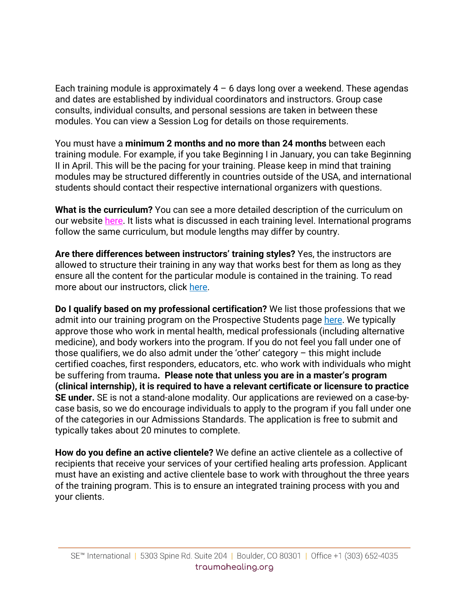Each training module is approximately  $4 - 6$  days long over a weekend. These agendas and dates are established by individual coordinators and instructors. Group case consults, individual consults, and personal sessions are taken in between these modules. You can view a Session Log for details on those requirements.

You must have a **minimum 2 months and no more than 24 months** between each training module. For example, if you take Beginning I in January, you can take Beginning II in April. This will be the pacing for your training. Please keep in mind that training modules may be structured differently in countries outside of the USA, and international students should contact their respective international organizers with questions.

**What is the curriculum?** You can see a more detailed description of the curriculum on our website [here.](https://traumahealing.org/professional-training/) It lists what is discussed in each training level. International programs follow the same curriculum, but module lengths may differ by country.

**Are there differences between instructors' training styles?** Yes, the instructors are allowed to structure their training in any way that works best for them as long as they ensure all the content for the particular module is contained in the training. To read more about our instructors, click [here.](https://traumahealing.org/faculty/)

**Do I qualify based on my professional certification?** We list those professions that we admit into our training program on the Prospective Students page [here.](https://traumahealing.org/prospective-students/) We typically approve those who work in mental health, medical professionals (including alternative medicine), and body workers into the program. If you do not feel you fall under one of those qualifiers, we do also admit under the 'other' category – this might include certified coaches, first responders, educators, etc. who work with individuals who might be suffering from trauma**. Please note that unless you are in a master's program (clinical internship), it is required to have a relevant certificate or licensure to practice SE under.** SE is not a stand-alone modality. Our applications are reviewed on a case-bycase basis, so we do encourage individuals to apply to the program if you fall under one of the categories in our Admissions Standards. The application is free to submit and typically takes about 20 minutes to complete.

**How do you define an active clientele?** We define an active clientele as a collective of recipients that receive your services of your certified healing arts profession. Applicant must have an existing and active clientele base to work with throughout the three years of the training program. This is to ensure an integrated training process with you and your clients.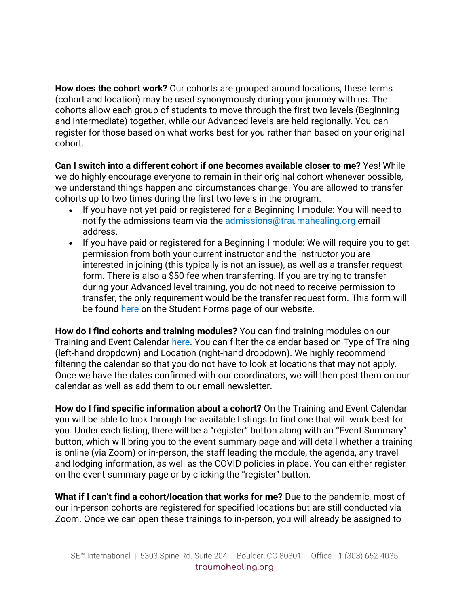**How does the cohort work?** Our cohorts are grouped around locations, these terms (cohort and location) may be used synonymously during your journey with us. The cohorts allow each group of students to move through the first two levels (Beginning and Intermediate) together, while our Advanced levels are held regionally. You can register for those based on what works best for you rather than based on your original cohort.

**Can I switch into a different cohort if one becomes available closer to me?** Yes! While we do highly encourage everyone to remain in their original cohort whenever possible, we understand things happen and circumstances change. You are allowed to transfer cohorts up to two times during the first two levels in the program.

- If you have not yet paid or registered for a Beginning I module: You will need to notify the admissions team via the [admissions@traumahealing.org](mailto:admissions@traumahealing.org) email address.
- If you have paid or registered for a Beginning I module: We will require you to get permission from both your current instructor and the instructor you are interested in joining (this typically is not an issue), as well as a transfer request form. There is also a \$50 fee when transferring. If you are trying to transfer during your Advanced level training, you do not need to receive permission to transfer, the only requirement would be the transfer request form. This form will be found [here](https://traumahealing.org/student-forms/) on the Student Forms page of our website.

**How do I find cohorts and training modules?** You can find training modules on our Training and Event Calendar [here.](https://traumahealing.org/training-event-search/) You can filter the calendar based on Type of Training (left-hand dropdown) and Location (right-hand dropdown). We highly recommend filtering the calendar so that you do not have to look at locations that may not apply. Once we have the dates confirmed with our coordinators, we will then post them on our calendar as well as add them to our email newsletter.

**How do I find specific information about a cohort?** On the Training and Event Calendar you will be able to look through the available listings to find one that will work best for you. Under each listing, there will be a "register" button along with an "Event Summary" button, which will bring you to the event summary page and will detail whether a training is online (via Zoom) or in-person, the staff leading the module, the agenda, any travel and lodging information, as well as the COVID policies in place. You can either register on the event summary page or by clicking the "register" button.

**What if I can't find a cohort/location that works for me?** Due to the pandemic, most of our in-person cohorts are registered for specified locations but are still conducted via Zoom. Once we can open these trainings to in-person, you will already be assigned to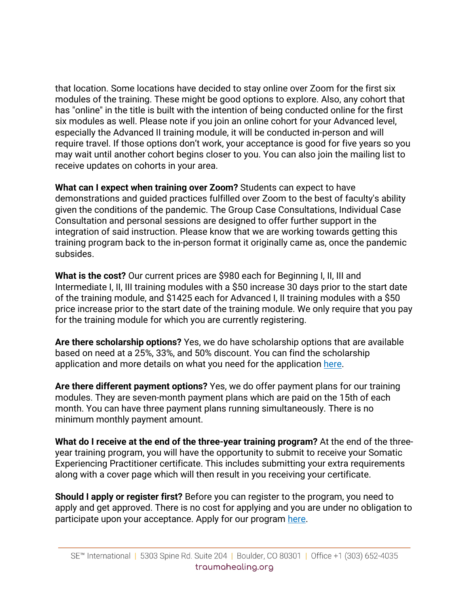that location. Some locations have decided to stay online over Zoom for the first six modules of the training. These might be good options to explore. Also, any cohort that has "online" in the title is built with the intention of being conducted online for the first six modules as well. Please note if you join an online cohort for your Advanced level, especially the Advanced II training module, it will be conducted in-person and will require travel. If those options don't work, your acceptance is good for five years so you may wait until another cohort begins closer to you. You can also join the mailing list to receive updates on cohorts in your area.

**What can I expect when training over Zoom?** Students can expect to have demonstrations and guided practices fulfilled over Zoom to the best of faculty's ability given the conditions of the pandemic. The Group Case Consultations, Individual Case Consultation and personal sessions are designed to offer further support in the integration of said instruction. Please know that we are working towards getting this training program back to the in-person format it originally came as, once the pandemic subsides.

**What is the cost?** Our current prices are \$980 each for Beginning I, II, III and Intermediate I, II, III training modules with a \$50 increase 30 days prior to the start date of the training module, and \$1425 each for Advanced I, II training modules with a \$50 price increase prior to the start date of the training module. We only require that you pay for the training module for which you are currently registering.

**Are there scholarship options?** Yes, we do have scholarship options that are available based on need at a 25%, 33%, and 50% discount. You can find the scholarship application and more details on what you need for the application [here.](https://traumahealing.org/tuition-and-support/)

**Are there different payment options?** Yes, we do offer payment plans for our training modules. They are seven-month payment plans which are paid on the 15th of each month. You can have three payment plans running simultaneously. There is no minimum monthly payment amount.

**What do I receive at the end of the three-year training program?** At the end of the threeyear training program, you will have the opportunity to submit to receive your Somatic Experiencing Practitioner certificate. This includes submitting your extra requirements along with a cover page which will then result in you receiving your certificate.

**Should I apply or register first?** Before you can register to the program, you need to apply and get approved. There is no cost for applying and you are under no obligation to participate upon your acceptance. Apply for our program [here.](http://www.cvent.com/surveys/Welcome.aspx?s=b0253a2a-b706-4599-9288-972daa3a5f5a)